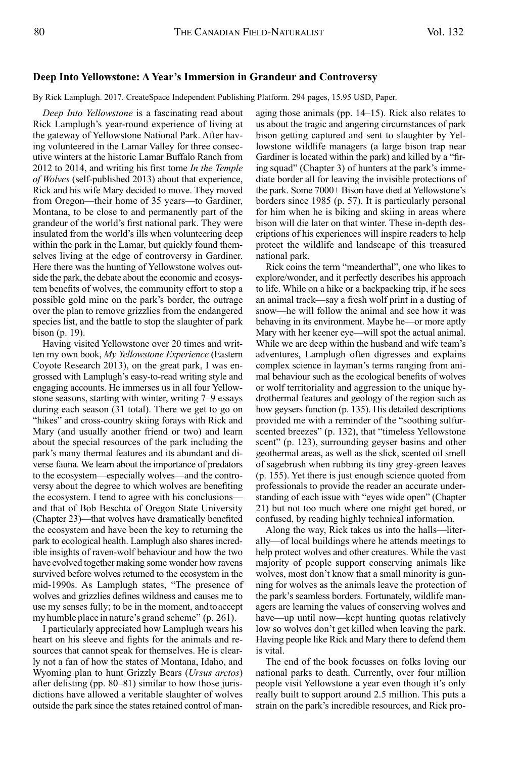## **Deep Into Yellowstone: A Year's Immersion in Grandeur and Controversy**

By Rick Lamplugh. 2017. CreateSpace Independent Publishing Platform. 294 pages, 15.95 USD, Paper.

*Deep Into Yellowstone* is a fascinating read about Rick Lamplugh's year-round experience of living at the gateway of Yellowstone National Park. After having volunteered in the Lamar Valley for three consecutive winters at the historic Lamar Buffalo Ranch from 2012 to 2014, and writing his first tome *In the Temple of Wolves* (self-published 2013) about that experience, Rick and his wife Mary decided to move. They moved from oregon—their home of 35 years—to Gardiner, Montana, to be close to and permanently part of the grandeur of the world's first national park. They were insulated from the world's ills when volunteering deep within the park in the Lamar, but quickly found themselves living at the edge of controversy in Gardiner. Here there was the hunting of Yellowstone wolves outside the park, the debate about the economic and ecosystem benefits of wolves, the community effort to stop a possible gold mine on the park's border, the outrage over the plan to remove grizzlies from the endangered species list, and the battle to stop the slaughter of park bison (p. 19).

Having visited Yellowstone over 20 times and written my own book, *My Yellowstone Experience* (Eastern Coyote Research 2013), on the great park, I was engrossed with Lamplugh's easy-to-read writing style and engaging accounts. He immerses us in all four Yellowstone seasons, starting with winter, writing 7–9 essays during each season (31 total). There we get to go on "hikes" and cross-country skiing forays with Rick and Mary (and usually another friend or two) and learn about the special resources of the park including the park's many thermal features and its abundant and diverse fauna. We learn about the importance of predators to the ecosystem—especially wolves—and the controversy about the degree to which wolves are benefiting the ecosystem. I tend to agree with his conclusions and that of Bob Beschta of Oregon State University (Chapter 23)—that wolves have dramatically benefited the ecosystem and have been the key to returning the park to ecological health. Lamplugh also shares incredible insights of raven-wolf behaviour and how the two have evolved together making some wonder how ravens survived before wolves returned to the ecosystem in the mid-1990s. As Lamplugh states, "The presence of wolves and grizzlies defines wildness and causes me to use my senses fully; to be in the moment, andtoaccept my humble place in nature's grand scheme" (p. 261).

I particularly appreciated how Lamplugh wears his heart on his sleeve and fights for the animals and resources that cannot speak for themselves. He is clearly not a fan of how the states of Montana, Idaho, and Wyoming plan to hunt Grizzly Bears (*Ursus arctos*) after delisting (pp. 80–81) similar to how those jurisdictions have allowed a veritable slaughter of wolves outside the park since the states retained control of man-

aging those animals (pp. 14–15). Rick also relates to us about the tragic and angering circumstances of park bison getting captured and sent to slaughter by yellowstone wildlife managers (a large bison trap near Gardiner is located within the park) and killed by a "firing squad" (Chapter 3) of hunters at the park's immediate border all for leaving the invisible protections of the park. Some 7000+ Bison have died at Yellowstone's borders since 1985 (p. 57). It is particularly personal for him when he is biking and skiing in areas where bison will die later on that winter. These in-depth descriptions of his experiences will inspire readers to help protect the wildlife and landscape of this treasured national park.

Rick coins the term "meanderthal", one who likes to explore/wonder, and it perfectly describes his approach to life. While on a hike or a backpacking trip, if he sees an animal track—say a fresh wolf print in a dusting of snow—he will follow the animal and see how it was behaving in its environment. Maybe he—or more aptly Mary with her keener eye—will spot the actual animal. While we are deep within the husband and wife team's adventures, Lamplugh often digresses and explains complex science in layman's terms ranging from animal behaviour such as the ecological benefits of wolves or wolf territoriality and aggression to the unique hydrothermal features and geology of the region such as how geysers function (p. 135). His detailed descriptions provided me with a reminder of the "soothing sulfurscented breezes" (p. 132), that "timeless Yellowstone scent" (p. 123), surrounding geyser basins and other geothermal areas, as well as the slick, scented oil smell of sagebrush when rubbing its tiny grey-green leaves (p. 155). yet there is just enough science quoted from professionals to provide the reader an accurate understanding of each issue with "eyes wide open" (Chapter 21) but not too much where one might get bored, or confused, by reading highly technical information.

Along the way, Rick takes us into the halls—literally—of local buildings where he attends meetings to help protect wolves and other creatures. While the vast majority of people support conserving animals like wolves, most don't know that a small minority is gunning for wolves as the animals leave the protection of the park's seamless borders. Fortunately, wildlife managers are learning the values of conserving wolves and have—up until now—kept hunting quotas relatively low so wolves don't get killed when leaving the park. Having people like Rick and Mary there to defend them is vital.

The end of the book focusses on folks loving our national parks to death. Currently, over four million people visit yellowstone a year even though it's only really built to support around 2.5 million. This puts a strain on the park's incredible resources, and Rick pro-